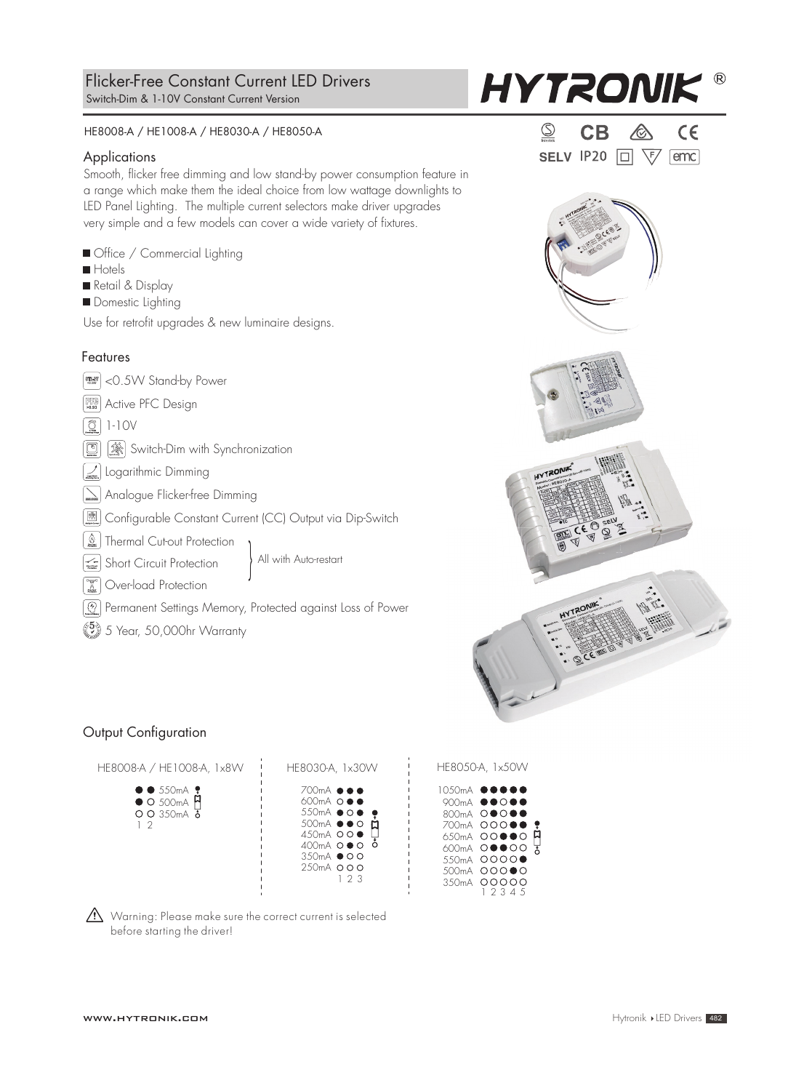#### HE8008-A / HE1008-A / HE8030-A / HE8050-A

#### **Applications**

Smooth, flicker free dimming and low stand-by power consumption feature in a range which make them the ideal choice from low wattage downlights to LED Panel Lighting. The multiple current selectors make driver upgrades very simple and a few models can cover a wide variety of fixtures.

| Office / Commercial Lighting                                                                                                                                                                                                                                                                                                                                                           |
|----------------------------------------------------------------------------------------------------------------------------------------------------------------------------------------------------------------------------------------------------------------------------------------------------------------------------------------------------------------------------------------|
| $\blacksquare$ Hotels                                                                                                                                                                                                                                                                                                                                                                  |
| Retail & Display                                                                                                                                                                                                                                                                                                                                                                       |
| Domestic Lighting                                                                                                                                                                                                                                                                                                                                                                      |
| Use for retrofit upgrades & new luminaire designs.                                                                                                                                                                                                                                                                                                                                     |
| Features                                                                                                                                                                                                                                                                                                                                                                               |
| MORE <0.5W Stand-by Power                                                                                                                                                                                                                                                                                                                                                              |
| <b>EBIN</b> Active PFC Design                                                                                                                                                                                                                                                                                                                                                          |
|                                                                                                                                                                                                                                                                                                                                                                                        |
| Switch-Dim with Synchronization<br>$\begin{picture}(20,20) \put(0,0){\line(1,0){10}} \put(15,0){\line(1,0){10}} \put(15,0){\line(1,0){10}} \put(15,0){\line(1,0){10}} \put(15,0){\line(1,0){10}} \put(15,0){\line(1,0){10}} \put(15,0){\line(1,0){10}} \put(15,0){\line(1,0){10}} \put(15,0){\line(1,0){10}} \put(15,0){\line(1,0){10}} \put(15,0){\line(1,0){10}} \put(15,0){\line(1$ |
| Logarithmic Dimming                                                                                                                                                                                                                                                                                                                                                                    |

 $\sum$  Analogue Flicker-free Dimming

Configurable Constant Current (CC) Output via Dip-Switch

Thermal Cut-out Protection

Short Circuit Protection

**III** Over-load Protection

 $\boxed{\textcircled{\mathfrak D}}$  Permanent Settings Memory, Protected against Loss of Power

All with Auto-restart

 $\binom{5}{2}$  5 Year, 50,000hr Warranty

# Output Configuration



|         | HE8UJU-A, TXJUVV |
|---------|------------------|
| 10.50mA |                  |
|         | 900mA ●●○●●      |
|         | 800mA 00000      |
|         | 700mA 00000<br>ę |
|         | ۵<br>650mA OOOOO |
|         | 600mA 00000<br>₮ |
|         | 550mA 0000●      |
|         | 500mA 00000      |

4 5

350mA OOC<br>1 2 3



|  | SELV IP20 $\Box \ \ \forall$ | emc |
|--|------------------------------|-----|



 $\langle \cdot \rangle$  Warning: Please make sure the correct current is selected before starting the driver!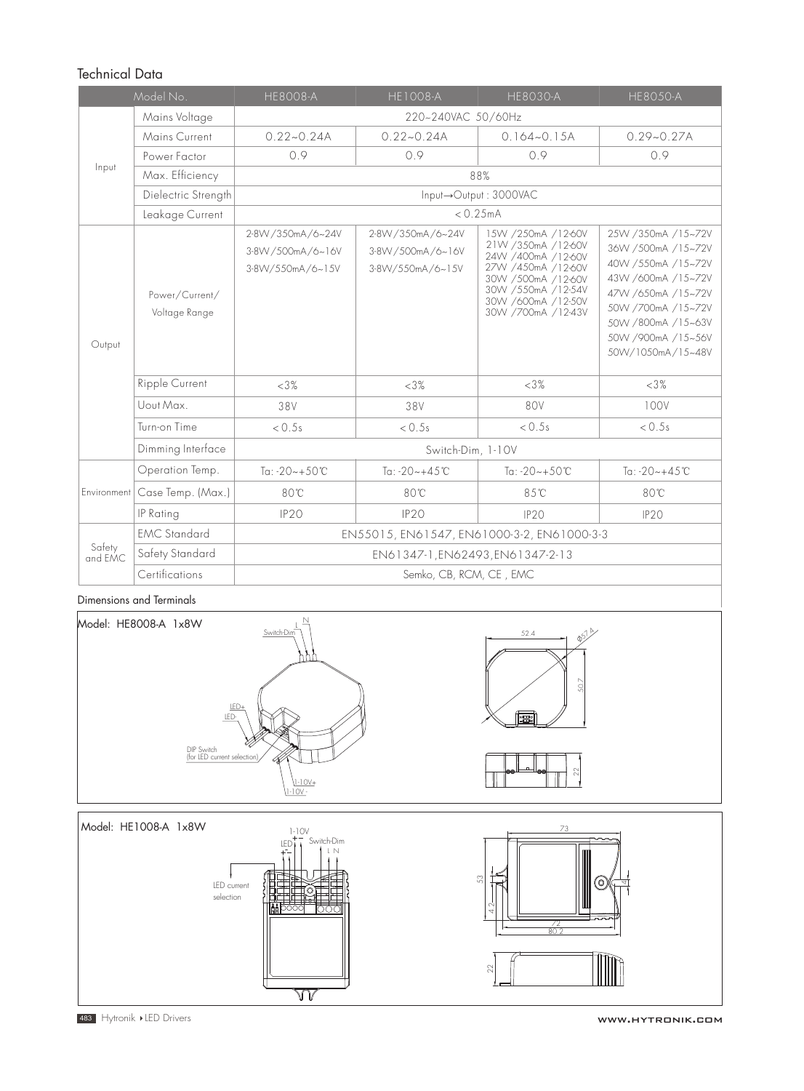# Technical Data

| Model No.         |                                                                   | <b>HE8008-A</b>                                            | <b>HE1008-A</b>                                           | <b>HE8030-A</b>                                                                                                                                                              | <b>HE8050-A</b>                                                                                                                                                                                   |  |  |  |  |
|-------------------|-------------------------------------------------------------------|------------------------------------------------------------|-----------------------------------------------------------|------------------------------------------------------------------------------------------------------------------------------------------------------------------------------|---------------------------------------------------------------------------------------------------------------------------------------------------------------------------------------------------|--|--|--|--|
|                   | Mains Voltage                                                     | 220~240VAC 50/60Hz                                         |                                                           |                                                                                                                                                                              |                                                                                                                                                                                                   |  |  |  |  |
|                   | Mains Current                                                     | $0.22 - 0.24A$                                             | $0.22 - 0.24A$                                            | $0.164 - 0.15A$                                                                                                                                                              | $0.29 - 0.27A$                                                                                                                                                                                    |  |  |  |  |
|                   | Power Factor                                                      | 0.9                                                        | 0.9                                                       | 0.9                                                                                                                                                                          | 0.9                                                                                                                                                                                               |  |  |  |  |
| Input             | Max. Efficiency                                                   | 88%                                                        |                                                           |                                                                                                                                                                              |                                                                                                                                                                                                   |  |  |  |  |
|                   | Dielectric Strength                                               |                                                            | Input→Output: 3000VAC                                     |                                                                                                                                                                              |                                                                                                                                                                                                   |  |  |  |  |
|                   | Leakage Current                                                   |                                                            |                                                           | < 0.25mA                                                                                                                                                                     |                                                                                                                                                                                                   |  |  |  |  |
| Output            | Power/Current/<br>Voltage Range                                   | 2-8W/350mA/6~24V<br>3-8VV/500mA/6~16V<br>3-8VV/550mA/6~15V | 2-8W/350mA/6~24V<br>3-8W/500mA/6~16V<br>3-8VV/550mA/6~15V | 15W /250mA /12-60V<br>21W /350mA /12-60V<br>24W /400mA /12-60V<br>27W /450mA /12-60V<br>30W /500mA /12-60V<br>30W /550mA /12-54V<br>30W /600mA /12-50V<br>30W /700mA /12-43V | 25W /350mA /15~72V<br>36W /500mA /15~72V<br>40W /550mA /15~72V<br>43W /600mA /15~72V<br>47W /650mA /15~72V<br>50W /700mA /15~72V<br>50W /800mA /15~63V<br>50W /900mA /15~56V<br>50W/1050mA/15~48V |  |  |  |  |
|                   | Ripple Current                                                    | <3%                                                        | <3%                                                       | <3%                                                                                                                                                                          | <3%                                                                                                                                                                                               |  |  |  |  |
|                   | Uout Max.                                                         | 38V                                                        | 38V                                                       | 80V                                                                                                                                                                          | 100V                                                                                                                                                                                              |  |  |  |  |
|                   | Turn-on Time                                                      | < 0.5s                                                     | < 0.5s                                                    | < 0.5s                                                                                                                                                                       | < 0.5s                                                                                                                                                                                            |  |  |  |  |
|                   | Dimming Interface                                                 | Switch-Dim, 1-10V                                          |                                                           |                                                                                                                                                                              |                                                                                                                                                                                                   |  |  |  |  |
|                   | Operation Temp.                                                   | Ta: $-20 - +50$ °C                                         | Ta: $-20 - +45$ °C                                        | Ta: $-20 - +50$ °C                                                                                                                                                           | Ta: $-20 - +45$ °C                                                                                                                                                                                |  |  |  |  |
| Environment       | Case Temp. (Max.)                                                 | 80°C                                                       | 80°C                                                      | 85°C                                                                                                                                                                         | 80°C                                                                                                                                                                                              |  |  |  |  |
|                   | IP Rating                                                         | IP <sub>20</sub>                                           | IP20                                                      | IP20                                                                                                                                                                         | <b>IP20</b>                                                                                                                                                                                       |  |  |  |  |
|                   | <b>EMC Standard</b><br>EN55015, EN61547, EN61000-3-2, EN61000-3-3 |                                                            |                                                           |                                                                                                                                                                              |                                                                                                                                                                                                   |  |  |  |  |
| Safety<br>and EMC | Safety Standard                                                   | EN61347-1, EN62493, EN61347-2-13                           |                                                           |                                                                                                                                                                              |                                                                                                                                                                                                   |  |  |  |  |
|                   | Certifications                                                    | Semko, CB, RCM, CE, EMC                                    |                                                           |                                                                                                                                                                              |                                                                                                                                                                                                   |  |  |  |  |

Dimensions and Terminals



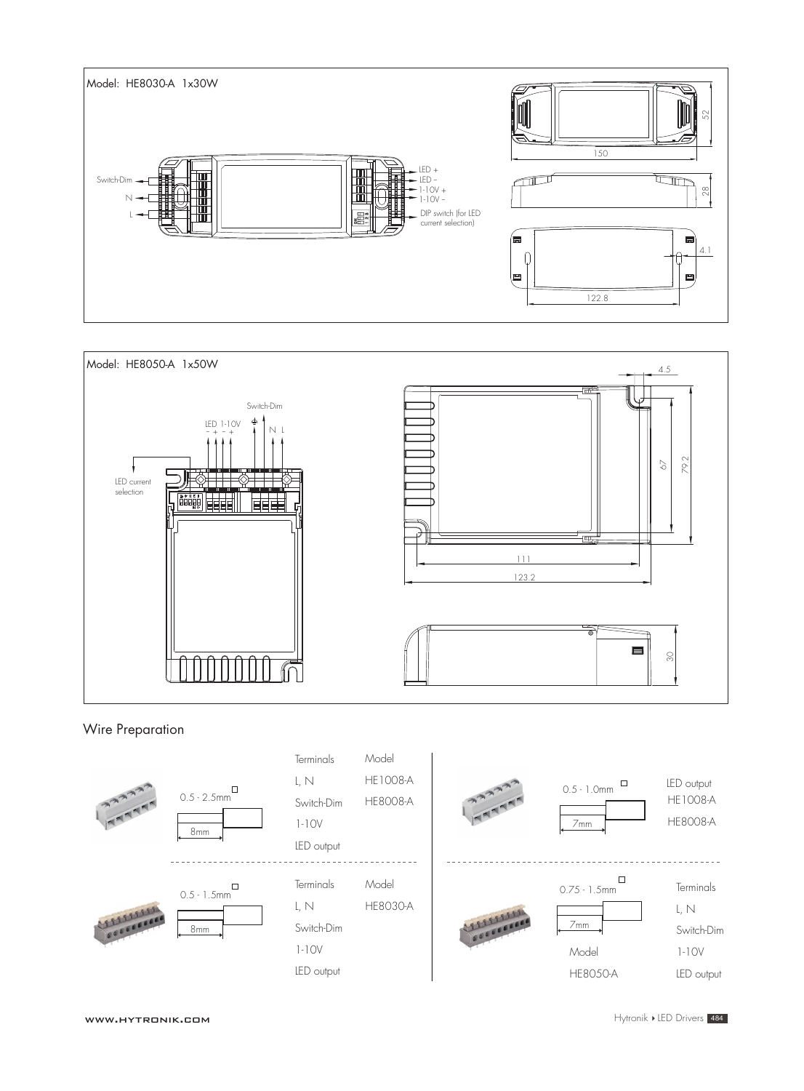



# Wire Preparation



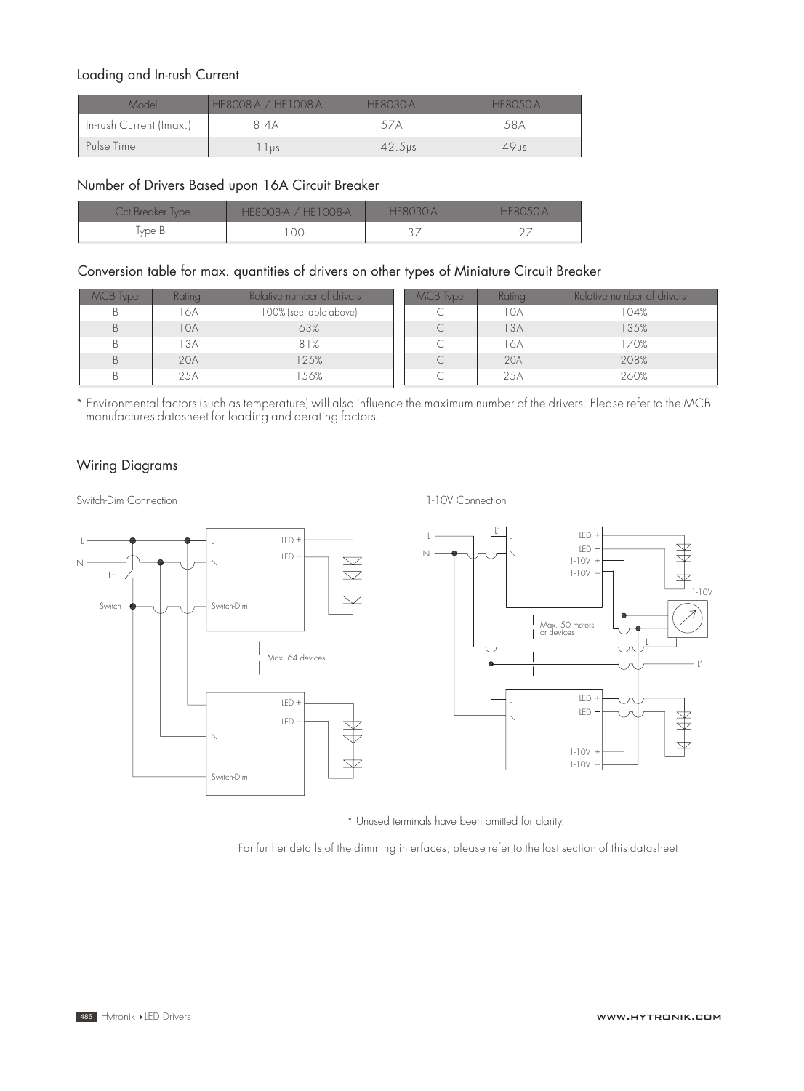# Loading and In-rush Current

| Model                   | <b>HE8008-A / HE1008-A</b><br>HHSO(3)A |             | HF8()5()-A |
|-------------------------|----------------------------------------|-------------|------------|
| In-rush Current (Imax.) | 8.4A                                   |             | 58A        |
| Pulse Time              | l us                                   | $42.5\nu s$ | 49us       |

# Number of Drivers Based upon 16A Circuit Breaker

| Cct Breaker Type | HE8008-A / HE1008-A | HF8030-A | HER()5()A |
|------------------|---------------------|----------|-----------|
| Type B           | 70                  | $\cup$ . |           |

# Conversion table for max. quantities of drivers on other types of Miniature Circuit Breaker

| MCB Type | <b>Rating</b> | Relative number of drivers | MCB Type | Rating | Relative number of drivers' |
|----------|---------------|----------------------------|----------|--------|-----------------------------|
|          | 6A            | 100% (see table above)     | ◡        | 10A    | 104%                        |
| B        | 10A           | 63%                        |          | 13A    | 135%                        |
| Β        | 3A            | 81%                        |          | 16A    | 170%                        |
| B        | 20A           | 125%                       |          | 20A    | 208%                        |
| В        | 25A           | 56%                        | С        | 25A    | 260%                        |

\* Environmental factors (such as temperature) will also inuence the maximum number of the drivers. Please refer to the MCB manufactures datasheet for loading and derating factors.

# Wiring Diagrams

Switch-Dim Connection



1-10V Connection



\* Unused terminals have been omitted for clarity.

For further details of the dimming interfaces, please refer to the last section of this datasheet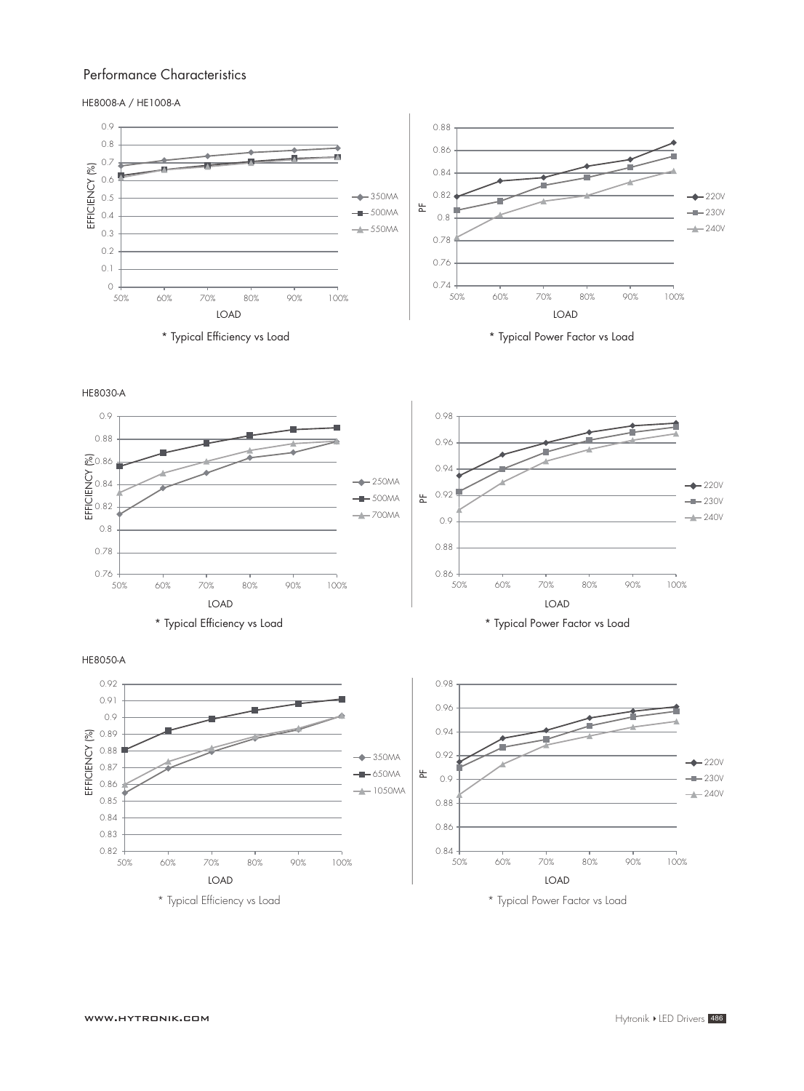### Performance Characteristics

HE8008-A / HE1008-A



HE8030-A



HE8050-A